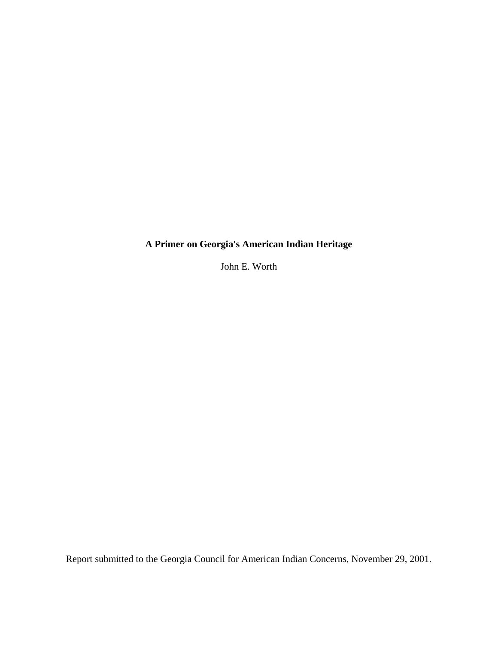## **A Primer on Georgia's American Indian Heritage**

John E. Worth

Report submitted to the Georgia Council for American Indian Concerns, November 29, 2001.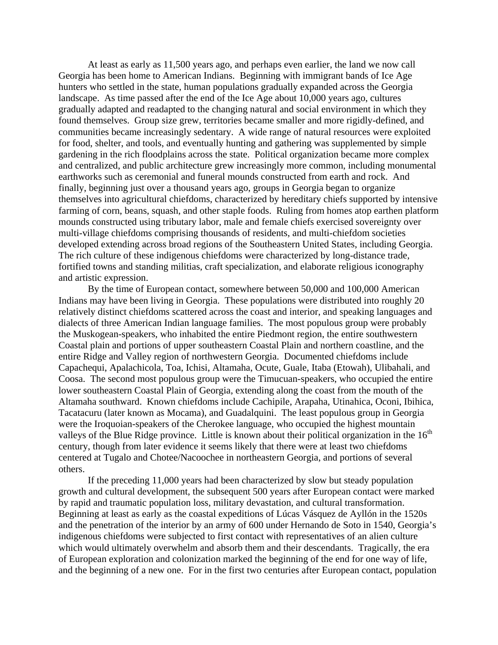At least as early as 11,500 years ago, and perhaps even earlier, the land we now call Georgia has been home to American Indians. Beginning with immigrant bands of Ice Age hunters who settled in the state, human populations gradually expanded across the Georgia landscape. As time passed after the end of the Ice Age about 10,000 years ago, cultures gradually adapted and readapted to the changing natural and social environment in which they found themselves. Group size grew, territories became smaller and more rigidly-defined, and communities became increasingly sedentary. A wide range of natural resources were exploited for food, shelter, and tools, and eventually hunting and gathering was supplemented by simple gardening in the rich floodplains across the state. Political organization became more complex and centralized, and public architecture grew increasingly more common, including monumental earthworks such as ceremonial and funeral mounds constructed from earth and rock. And finally, beginning just over a thousand years ago, groups in Georgia began to organize themselves into agricultural chiefdoms, characterized by hereditary chiefs supported by intensive farming of corn, beans, squash, and other staple foods. Ruling from homes atop earthen platform mounds constructed using tributary labor, male and female chiefs exercised sovereignty over multi-village chiefdoms comprising thousands of residents, and multi-chiefdom societies developed extending across broad regions of the Southeastern United States, including Georgia. The rich culture of these indigenous chiefdoms were characterized by long-distance trade, fortified towns and standing militias, craft specialization, and elaborate religious iconography and artistic expression.

By the time of European contact, somewhere between 50,000 and 100,000 American Indians may have been living in Georgia. These populations were distributed into roughly 20 relatively distinct chiefdoms scattered across the coast and interior, and speaking languages and dialects of three American Indian language families. The most populous group were probably the Muskogean-speakers, who inhabited the entire Piedmont region, the entire southwestern Coastal plain and portions of upper southeastern Coastal Plain and northern coastline, and the entire Ridge and Valley region of northwestern Georgia. Documented chiefdoms include Capachequi, Apalachicola, Toa, Ichisi, Altamaha, Ocute, Guale, Itaba (Etowah), Ulibahali, and Coosa. The second most populous group were the Timucuan-speakers, who occupied the entire lower southeastern Coastal Plain of Georgia, extending along the coast from the mouth of the Altamaha southward. Known chiefdoms include Cachipile, Arapaha, Utinahica, Oconi, Ibihica, Tacatacuru (later known as Mocama), and Guadalquini. The least populous group in Georgia were the Iroquoian-speakers of the Cherokee language, who occupied the highest mountain valleys of the Blue Ridge province. Little is known about their political organization in the  $16<sup>th</sup>$ century, though from later evidence it seems likely that there were at least two chiefdoms centered at Tugalo and Chotee/Nacoochee in northeastern Georgia, and portions of several others.

 If the preceding 11,000 years had been characterized by slow but steady population growth and cultural development, the subsequent 500 years after European contact were marked by rapid and traumatic population loss, military devastation, and cultural transformation. Beginning at least as early as the coastal expeditions of Lúcas Vásquez de Ayllón in the 1520s and the penetration of the interior by an army of 600 under Hernando de Soto in 1540, Georgia's indigenous chiefdoms were subjected to first contact with representatives of an alien culture which would ultimately overwhelm and absorb them and their descendants. Tragically, the era of European exploration and colonization marked the beginning of the end for one way of life, and the beginning of a new one. For in the first two centuries after European contact, population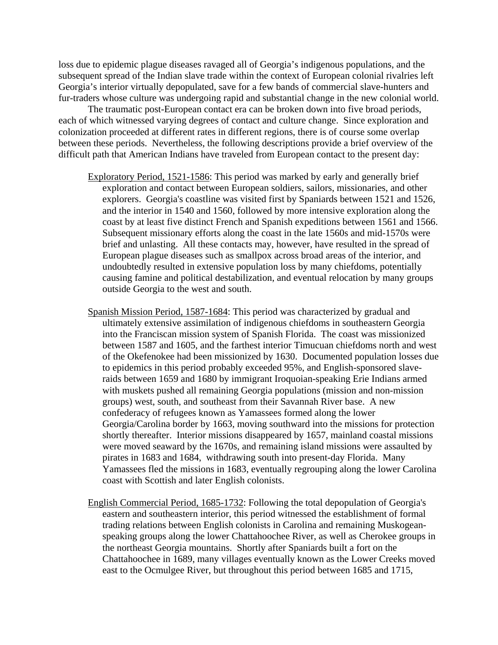loss due to epidemic plague diseases ravaged all of Georgia's indigenous populations, and the subsequent spread of the Indian slave trade within the context of European colonial rivalries left Georgia's interior virtually depopulated, save for a few bands of commercial slave-hunters and fur-traders whose culture was undergoing rapid and substantial change in the new colonial world.

 The traumatic post-European contact era can be broken down into five broad periods, each of which witnessed varying degrees of contact and culture change. Since exploration and colonization proceeded at different rates in different regions, there is of course some overlap between these periods. Nevertheless, the following descriptions provide a brief overview of the difficult path that American Indians have traveled from European contact to the present day:

- Exploratory Period, 1521-1586: This period was marked by early and generally brief exploration and contact between European soldiers, sailors, missionaries, and other explorers. Georgia's coastline was visited first by Spaniards between 1521 and 1526, and the interior in 1540 and 1560, followed by more intensive exploration along the coast by at least five distinct French and Spanish expeditions between 1561 and 1566. Subsequent missionary efforts along the coast in the late 1560s and mid-1570s were brief and unlasting. All these contacts may, however, have resulted in the spread of European plague diseases such as smallpox across broad areas of the interior, and undoubtedly resulted in extensive population loss by many chiefdoms, potentially causing famine and political destabilization, and eventual relocation by many groups outside Georgia to the west and south.
- Spanish Mission Period, 1587-1684: This period was characterized by gradual and ultimately extensive assimilation of indigenous chiefdoms in southeastern Georgia into the Franciscan mission system of Spanish Florida. The coast was missionized between 1587 and 1605, and the farthest interior Timucuan chiefdoms north and west of the Okefenokee had been missionized by 1630. Documented population losses due to epidemics in this period probably exceeded 95%, and English-sponsored slaveraids between 1659 and 1680 by immigrant Iroquoian-speaking Erie Indians armed with muskets pushed all remaining Georgia populations (mission and non-mission groups) west, south, and southeast from their Savannah River base. A new confederacy of refugees known as Yamassees formed along the lower Georgia/Carolina border by 1663, moving southward into the missions for protection shortly thereafter. Interior missions disappeared by 1657, mainland coastal missions were moved seaward by the 1670s, and remaining island missions were assaulted by pirates in 1683 and 1684, withdrawing south into present-day Florida. Many Yamassees fled the missions in 1683, eventually regrouping along the lower Carolina coast with Scottish and later English colonists.
- English Commercial Period, 1685-1732: Following the total depopulation of Georgia's eastern and southeastern interior, this period witnessed the establishment of formal trading relations between English colonists in Carolina and remaining Muskogeanspeaking groups along the lower Chattahoochee River, as well as Cherokee groups in the northeast Georgia mountains. Shortly after Spaniards built a fort on the Chattahoochee in 1689, many villages eventually known as the Lower Creeks moved east to the Ocmulgee River, but throughout this period between 1685 and 1715,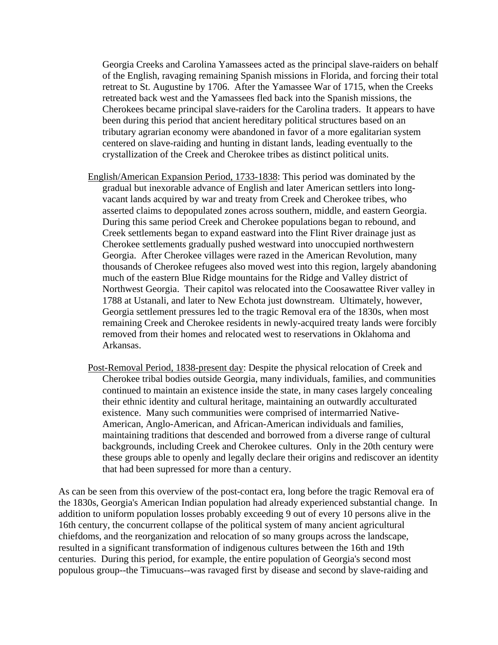Georgia Creeks and Carolina Yamassees acted as the principal slave-raiders on behalf of the English, ravaging remaining Spanish missions in Florida, and forcing their total retreat to St. Augustine by 1706. After the Yamassee War of 1715, when the Creeks retreated back west and the Yamassees fled back into the Spanish missions, the Cherokees became principal slave-raiders for the Carolina traders. It appears to have been during this period that ancient hereditary political structures based on an tributary agrarian economy were abandoned in favor of a more egalitarian system centered on slave-raiding and hunting in distant lands, leading eventually to the crystallization of the Creek and Cherokee tribes as distinct political units.

- English/American Expansion Period, 1733-1838: This period was dominated by the gradual but inexorable advance of English and later American settlers into longvacant lands acquired by war and treaty from Creek and Cherokee tribes, who asserted claims to depopulated zones across southern, middle, and eastern Georgia. During this same period Creek and Cherokee populations began to rebound, and Creek settlements began to expand eastward into the Flint River drainage just as Cherokee settlements gradually pushed westward into unoccupied northwestern Georgia. After Cherokee villages were razed in the American Revolution, many thousands of Cherokee refugees also moved west into this region, largely abandoning much of the eastern Blue Ridge mountains for the Ridge and Valley district of Northwest Georgia. Their capitol was relocated into the Coosawattee River valley in 1788 at Ustanali, and later to New Echota just downstream. Ultimately, however, Georgia settlement pressures led to the tragic Removal era of the 1830s, when most remaining Creek and Cherokee residents in newly-acquired treaty lands were forcibly removed from their homes and relocated west to reservations in Oklahoma and Arkansas.
- Post-Removal Period, 1838-present day: Despite the physical relocation of Creek and Cherokee tribal bodies outside Georgia, many individuals, families, and communities continued to maintain an existence inside the state, in many cases largely concealing their ethnic identity and cultural heritage, maintaining an outwardly acculturated existence. Many such communities were comprised of intermarried Native-American, Anglo-American, and African-American individuals and families, maintaining traditions that descended and borrowed from a diverse range of cultural backgrounds, including Creek and Cherokee cultures. Only in the 20th century were these groups able to openly and legally declare their origins and rediscover an identity that had been supressed for more than a century.

As can be seen from this overview of the post-contact era, long before the tragic Removal era of the 1830s, Georgia's American Indian population had already experienced substantial change. In addition to uniform population losses probably exceeding 9 out of every 10 persons alive in the 16th century, the concurrent collapse of the political system of many ancient agricultural chiefdoms, and the reorganization and relocation of so many groups across the landscape, resulted in a significant transformation of indigenous cultures between the 16th and 19th centuries. During this period, for example, the entire population of Georgia's second most populous group--the Timucuans--was ravaged first by disease and second by slave-raiding and